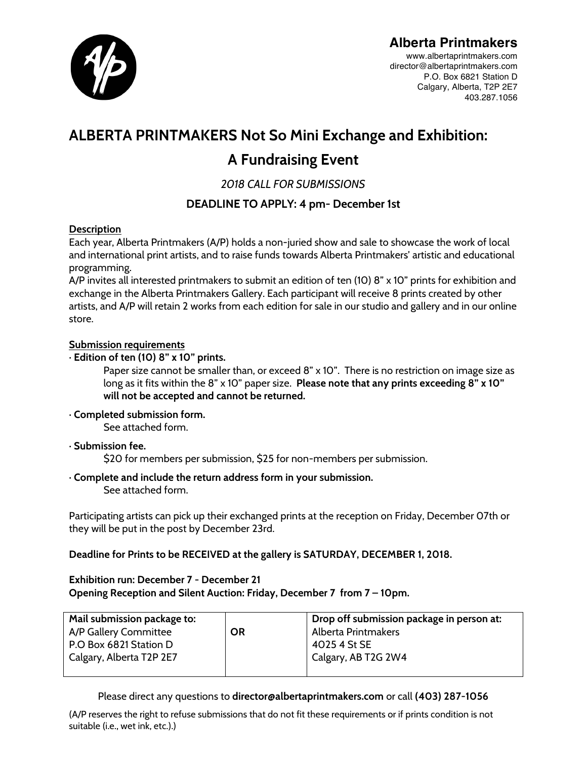

## **Alberta Printmakers**

www.albertaprintmakers.com director@albertaprintmakers.com P.O. Box 6821 Station D Calgary, Alberta, T2P 2E7 403.287.1056

# **ALBERTA PRINTMAKERS Not So Mini Exchange and Exhibition: A Fundraising Event**

### *2018 CALL FOR SUBMISSIONS*

### **DEADLINE TO APPLY: 4 pm- December 1st**

#### **Description**

Each year, Alberta Printmakers (A/P) holds a non-juried show and sale to showcase the work of local and international print artists, and to raise funds towards Alberta Printmakers' artistic and educational programming.

A/P invites all interested printmakers to submit an edition of ten (10) 8" x 10" prints for exhibition and exchange in the Alberta Printmakers Gallery. Each participant will receive 8 prints created by other artists, and A/P will retain 2 works from each edition for sale in our studio and gallery and in our online store.

#### **Submission requirements**

#### · **Edition of ten (10) 8" x 10" prints.**

Paper size cannot be smaller than, or exceed 8" x 10". There is no restriction on image size as long as it fits within the 8" x 10" paper size. **Please note that any prints exceeding 8" x 10" will not be accepted and cannot be returned.**

#### · **Completed submission form.**

See attached form.

· **Submission fee.** 

\$20 for members per submission, \$25 for non-members per submission.

· **Complete and include the return address form in your submission.**

See attached form.

Participating artists can pick up their exchanged prints at the reception on Friday, December 07th or they will be put in the post by December 23rd.

**Deadline for Prints to be RECEIVED at the gallery is SATURDAY, DECEMBER 1, 2018.**

#### **Exhibition run: December 7 - December 21 Opening Reception and Silent Auction: Friday, December 7 from 7 – 10pm.**

| Mail submission package to: |           | Drop off submission package in person at: |
|-----------------------------|-----------|-------------------------------------------|
| A/P Gallery Committee       | <b>OR</b> | Alberta Printmakers                       |
| P.O Box 6821 Station D      |           | 4025 4 St SE                              |
| Calgary, Alberta T2P 2E7    |           | Calgary, AB T2G 2W4                       |
|                             |           |                                           |

Please direct any questions to **director@albertaprintmakers.com** or call **(403) 287-1056**

(A/P reserves the right to refuse submissions that do not fit these requirements or if prints condition is not suitable (i.e., wet ink, etc.).)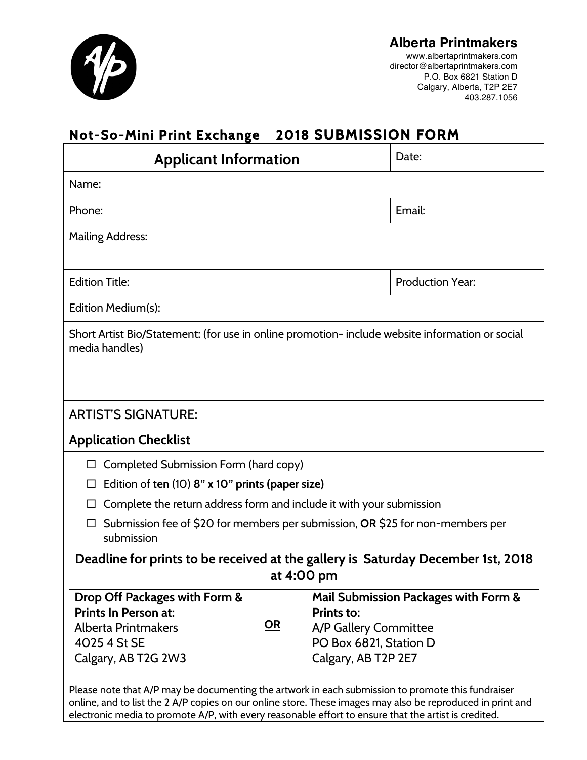

#### **Alberta Printmakers** www.albertaprintmakers.com director@albertaprintmakers.com P.O. Box 6821 Station D

Calgary, Alberta, T2P 2E7 403.287.1056

# **Not-So-Mini Print Exchange 2018 SUBMISSION FORM**

| <b>Applicant Information</b>                                                                                                     | Date:                                                                                                                               |  |  |
|----------------------------------------------------------------------------------------------------------------------------------|-------------------------------------------------------------------------------------------------------------------------------------|--|--|
| Name:                                                                                                                            |                                                                                                                                     |  |  |
| Phone:                                                                                                                           | Email:                                                                                                                              |  |  |
| <b>Mailing Address:</b>                                                                                                          |                                                                                                                                     |  |  |
|                                                                                                                                  |                                                                                                                                     |  |  |
| <b>Edition Title:</b>                                                                                                            | <b>Production Year:</b>                                                                                                             |  |  |
| Edition Medium(s):                                                                                                               |                                                                                                                                     |  |  |
| Short Artist Bio/Statement: (for use in online promotion- include website information or social<br>media handles)                |                                                                                                                                     |  |  |
|                                                                                                                                  |                                                                                                                                     |  |  |
| <b>ARTIST'S SIGNATURE:</b>                                                                                                       |                                                                                                                                     |  |  |
| <b>Application Checklist</b>                                                                                                     |                                                                                                                                     |  |  |
| Completed Submission Form (hard copy)<br>□                                                                                       |                                                                                                                                     |  |  |
| Edition of ten (10) 8" x 10" prints (paper size)                                                                                 |                                                                                                                                     |  |  |
| Complete the return address form and include it with your submission                                                             |                                                                                                                                     |  |  |
| Submission fee of \$20 for members per submission, OR \$25 for non-members per<br>submission                                     |                                                                                                                                     |  |  |
| Deadline for prints to be received at the gallery is Saturday December 1st, 2018<br>at 4:00 pm                                   |                                                                                                                                     |  |  |
| Drop Off Packages with Form &<br>Prints In Person at:<br><u>OR</u><br>Alberta Printmakers<br>4025 4 St SE<br>Calgary, AB T2G 2W3 | Mail Submission Packages with Form &<br><b>Prints to:</b><br>A/P Gallery Committee<br>PO Box 6821, Station D<br>Calgary, AB T2P 2E7 |  |  |
| Please note that A/P may be documenting the artwork in each submission to promote this fundraiser                                | online, and to list the 2 A/P copies on our online store. These images may also be reproduced in print and                          |  |  |

electronic media to promote A/P, with every reasonable effort to ensure that the artist is credited.